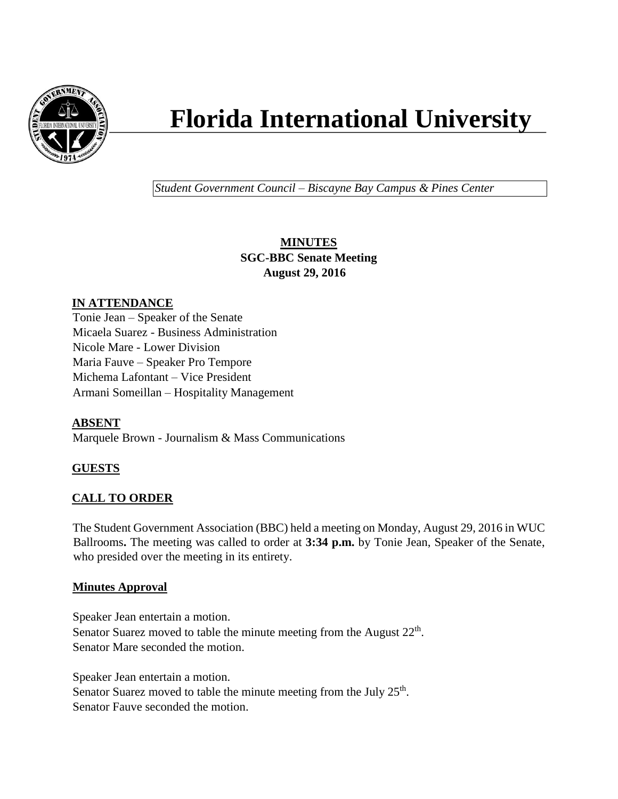

# **Florida International University**

*Student Government Council – Biscayne Bay Campus & Pines Center*

# **MINUTES SGC-BBC Senate Meeting August 29, 2016**

## **IN ATTENDANCE**

Tonie Jean – Speaker of the Senate Micaela Suarez - Business Administration Nicole Mare - Lower Division Maria Fauve – Speaker Pro Tempore Michema Lafontant – Vice President Armani Someillan – Hospitality Management

## **ABSENT**

Marquele Brown - Journalism & Mass Communications

## **GUESTS**

## **CALL TO ORDER**

The Student Government Association (BBC) held a meeting on Monday, August 29, 2016 in WUC Ballrooms**.** The meeting was called to order at **3:34 p.m.** by Tonie Jean, Speaker of the Senate, who presided over the meeting in its entirety.

#### **Minutes Approval**

Speaker Jean entertain a motion. Senator Suarez moved to table the minute meeting from the August  $22<sup>th</sup>$ . Senator Mare seconded the motion.

Speaker Jean entertain a motion.

Senator Suarez moved to table the minute meeting from the July  $25<sup>th</sup>$ . Senator Fauve seconded the motion.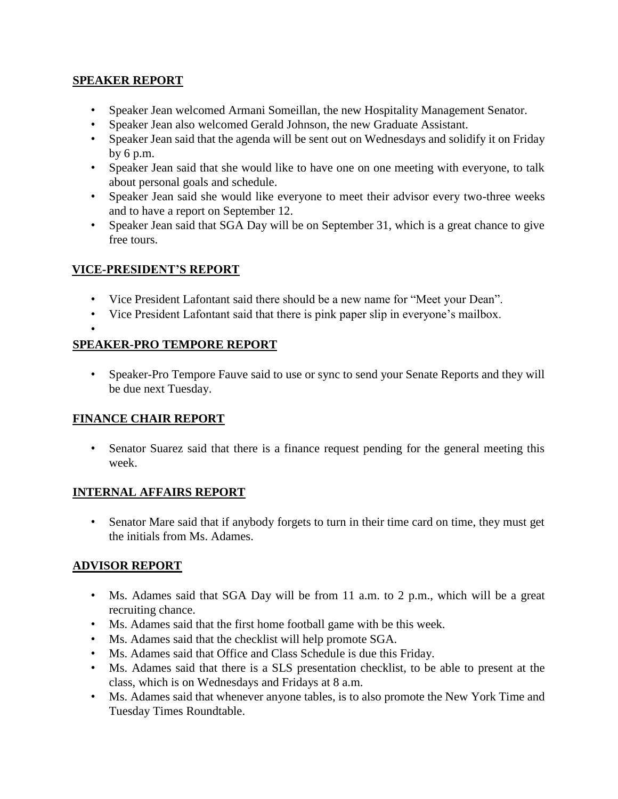#### **SPEAKER REPORT**

- Speaker Jean welcomed Armani Someillan, the new Hospitality Management Senator.
- Speaker Jean also welcomed Gerald Johnson, the new Graduate Assistant.
- Speaker Jean said that the agenda will be sent out on Wednesdays and solidify it on Friday by 6 p.m.
- Speaker Jean said that she would like to have one on one meeting with everyone, to talk about personal goals and schedule.
- Speaker Jean said she would like everyone to meet their advisor every two-three weeks and to have a report on September 12.
- Speaker Jean said that SGA Day will be on September 31, which is a great chance to give free tours.

# **VICE-PRESIDENT'S REPORT**

- Vice President Lafontant said there should be a new name for "Meet your Dean".
- Vice President Lafontant said that there is pink paper slip in everyone's mailbox.
- •

## **SPEAKER-PRO TEMPORE REPORT**

• Speaker-Pro Tempore Fauve said to use or sync to send your Senate Reports and they will be due next Tuesday.

## **FINANCE CHAIR REPORT**

• Senator Suarez said that there is a finance request pending for the general meeting this week.

## **INTERNAL AFFAIRS REPORT**

• Senator Mare said that if anybody forgets to turn in their time card on time, they must get the initials from Ms. Adames.

## **ADVISOR REPORT**

- Ms. Adames said that SGA Day will be from 11 a.m. to 2 p.m., which will be a great recruiting chance.
- Ms. Adames said that the first home football game with be this week.
- Ms. Adames said that the checklist will help promote SGA.
- Ms. Adames said that Office and Class Schedule is due this Friday.
- Ms. Adames said that there is a SLS presentation checklist, to be able to present at the class, which is on Wednesdays and Fridays at 8 a.m.
- Ms. Adames said that whenever anyone tables, is to also promote the New York Time and Tuesday Times Roundtable.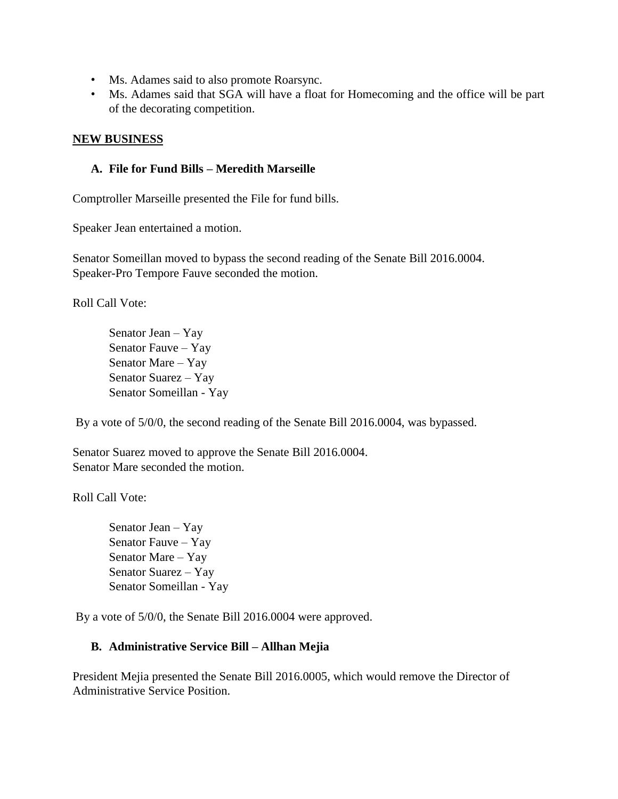- Ms. Adames said to also promote Roarsync.
- Ms. Adames said that SGA will have a float for Homecoming and the office will be part of the decorating competition.

#### **NEW BUSINESS**

#### **A. File for Fund Bills – Meredith Marseille**

Comptroller Marseille presented the File for fund bills.

Speaker Jean entertained a motion.

Senator Someillan moved to bypass the second reading of the Senate Bill 2016.0004. Speaker-Pro Tempore Fauve seconded the motion.

Roll Call Vote:

Senator Jean – Yay Senator Fauve – Yay Senator Mare – Yay Senator Suarez – Yay Senator Someillan - Yay

By a vote of 5/0/0, the second reading of the Senate Bill 2016.0004, was bypassed.

Senator Suarez moved to approve the Senate Bill 2016.0004. Senator Mare seconded the motion.

Roll Call Vote:

Senator Jean – Yay Senator Fauve – Yay Senator Mare – Yay Senator Suarez – Yay Senator Someillan - Yay

By a vote of 5/0/0, the Senate Bill 2016.0004 were approved.

#### **B. Administrative Service Bill – Allhan Mejia**

President Mejia presented the Senate Bill 2016.0005, which would remove the Director of Administrative Service Position.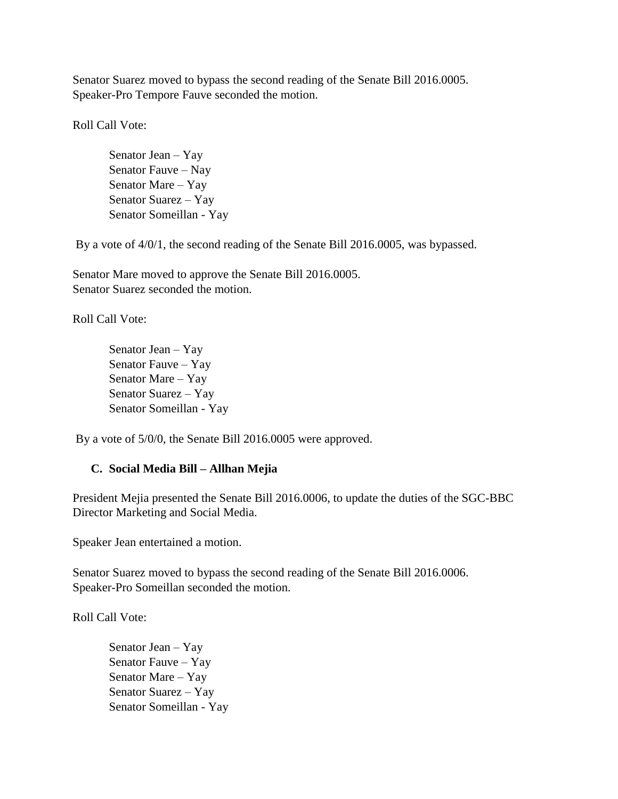Senator Suarez moved to bypass the second reading of the Senate Bill 2016.0005. Speaker-Pro Tempore Fauve seconded the motion.

Roll Call Vote:

Senator Jean – Yay Senator Fauve – Nay Senator Mare – Yay Senator Suarez – Yay Senator Someillan - Yay

By a vote of 4/0/1, the second reading of the Senate Bill 2016.0005, was bypassed.

Senator Mare moved to approve the Senate Bill 2016.0005. Senator Suarez seconded the motion.

Roll Call Vote:

Senator Jean – Yay Senator Fauve – Yay Senator Mare – Yay Senator Suarez – Yay Senator Someillan - Yay

By a vote of 5/0/0, the Senate Bill 2016.0005 were approved.

#### **C. Social Media Bill – Allhan Mejia**

President Mejia presented the Senate Bill 2016.0006, to update the duties of the SGC-BBC Director Marketing and Social Media.

Speaker Jean entertained a motion.

Senator Suarez moved to bypass the second reading of the Senate Bill 2016.0006. Speaker-Pro Someillan seconded the motion.

Roll Call Vote:

Senator Jean – Yay Senator Fauve – Yay Senator Mare – Yay Senator Suarez – Yay Senator Someillan - Yay